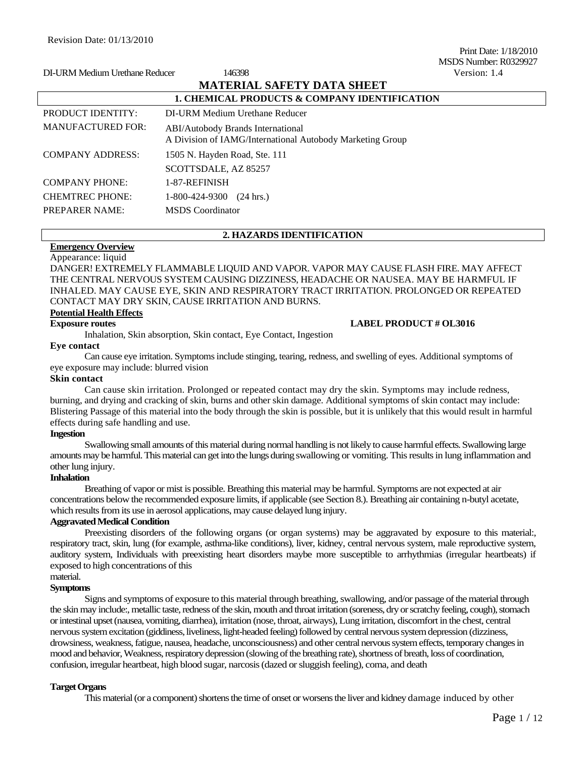Print Date: 1/18/2010 MSDS Number: R0329927 DI-URM Medium Urethane Reducer 146398 Version: 1.4

|                          | <b>MATERIAL SAFETY DATA SHEET</b>                                                                     |  |
|--------------------------|-------------------------------------------------------------------------------------------------------|--|
|                          | 1. CHEMICAL PRODUCTS & COMPANY IDENTIFICATION                                                         |  |
| <b>PRODUCT IDENTITY:</b> | DI-URM Medium Urethane Reducer                                                                        |  |
| <b>MANUFACTURED FOR:</b> | <b>ABI/Autobody Brands International</b><br>A Division of IAMG/International Autobody Marketing Group |  |
| <b>COMPANY ADDRESS:</b>  | 1505 N. Hayden Road, Ste. 111                                                                         |  |
|                          | SCOTTSDALE, AZ 85257                                                                                  |  |
| <b>COMPANY PHONE:</b>    | 1-87-REFINISH                                                                                         |  |
| <b>CHEMTREC PHONE:</b>   | $1-800-424-9300$ (24 hrs.)                                                                            |  |
| <b>PREPARER NAME:</b>    | <b>MSDS</b> Coordinator                                                                               |  |

#### **2. HAZARDS IDENTIFICATION**

# **Emergency Overview**

Appearance: liquid

DANGER! EXTREMELY FLAMMABLE LIQUID AND VAPOR. VAPOR MAY CAUSE FLASH FIRE. MAY AFFECT THE CENTRAL NERVOUS SYSTEM CAUSING DIZZINESS, HEADACHE OR NAUSEA. MAY BE HARMFUL IF INHALED. MAY CAUSE EYE, SKIN AND RESPIRATORY TRACT IRRITATION. PROLONGED OR REPEATED CONTACT MAY DRY SKIN, CAUSE IRRITATION AND BURNS.

#### **Potential Health Effects**

#### **Exposure routes LABEL PRODUCT # OL3016**

Inhalation, Skin absorption, Skin contact, Eye Contact, Ingestion

# **Eye contact**

Can cause eye irritation. Symptoms include stinging, tearing, redness, and swelling of eyes. Additional symptoms of eye exposure may include: blurred vision

#### **Skin contact**

Can cause skin irritation. Prolonged or repeated contact may dry the skin. Symptoms may include redness, burning, and drying and cracking of skin, burns and other skin damage. Additional symptoms of skin contact may include: Blistering Passage of this material into the body through the skin is possible, but it is unlikely that this would result in harmful effects during safe handling and use.

#### **Ingestion**

Swallowing small amounts of this material during normal handling is not likely to cause harmful effects. Swallowing large amounts may be harmful. This material can get into the lungs during swallowing or vomiting. This results in lung inflammation and other lung injury.

# **Inhalation**

Breathing of vapor or mist is possible. Breathing this material may be harmful. Symptoms are not expected at air concentrations below the recommended exposure limits, if applicable (see Section 8.). Breathing air containing n-butyl acetate, which results from its use in aerosol applications, may cause delayed lung injury.

# **Aggravated Medical Condition**

Preexisting disorders of the following organs (or organ systems) may be aggravated by exposure to this material:, respiratory tract, skin, lung (for example, asthma-like conditions), liver, kidney, central nervous system, male reproductive system, auditory system, Individuals with preexisting heart disorders maybe more susceptible to arrhythmias (irregular heartbeats) if exposed to high concentrations of this

#### material. **Symptoms**

Signs and symptoms of exposure to this material through breathing, swallowing, and/or passage of the material through the skin may include:, metallic taste, redness of the skin, mouth and throat irritation (soreness, dry or scratchy feeling, cough), stomach or intestinal upset (nausea, vomiting, diarrhea), irritation (nose, throat, airways), Lung irritation, discomfort in the chest, central nervous system excitation (giddiness, liveliness, light-headed feeling) followed by central nervous system depression (dizziness, drowsiness, weakness, fatigue, nausea, headache, unconsciousness) and other central nervous system effects, temporary changes in mood and behavior, Weakness, respiratory depression (slowing of the breathing rate), shortness of breath, loss of coordination, confusion, irregular heartbeat, high blood sugar, narcosis (dazed or sluggish feeling), coma, and death

#### **Target Organs**

This material (or a component) shortens the time of onset or worsens the liver and kidney damage induced by other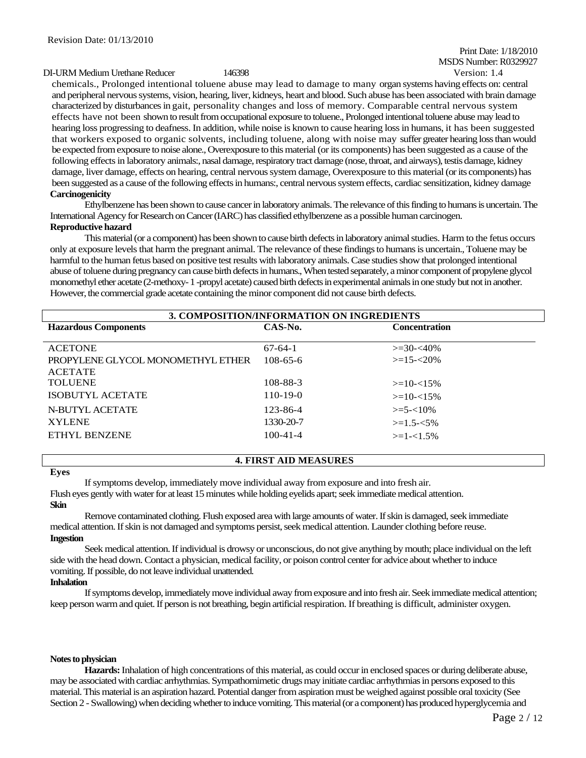# Print Date: 1/18/2010 MSDS Number: R0329927

#### DI-URM Medium Urethane Reducer 146398 Version: 1.4

chemicals., Prolonged intentional toluene abuse may lead to damage to many organ systems having effects on: central and peripheral nervous systems, vision, hearing, liver, kidneys, heart and blood. Such abuse has been associated with brain damage characterized by disturbances in gait, personality changes and loss of memory. Comparable central nervous system effects have not been shown to result from occupational exposure to toluene., Prolonged intentional toluene abuse may lead to hearing loss progressing to deafness. In addition, while noise is known to cause hearing loss in humans, it has been suggested that workers exposed to organic solvents, including toluene, along with noise may suffer greater hearing loss than would be expected from exposure to noise alone., Overexposure to this material (or its components) has been suggested as a cause of the following effects in laboratory animals:, nasal damage, respiratory tract damage (nose, throat, and airways), testis damage, kidney damage, liver damage, effects on hearing, central nervous system damage, Overexposure to this material (or its components) has been suggested as a cause of the following effects in humans:, central nervous system effects, cardiac sensitization, kidney damage **Carcinogenicity**

Ethylbenzene has been shown to cause cancer in laboratory animals. The relevance of this finding to humans is uncertain. The International Agency for Research on Cancer (IARC) has classified ethylbenzene as a possible human carcinogen.

# **Reproductive hazard**

This material (or a component) has been shown to cause birth defects in laboratory animal studies. Harm to the fetus occurs only at exposure levels that harm the pregnant animal. The relevance of these findings to humans is uncertain., Toluene may be harmful to the human fetus based on positive test results with laboratory animals. Case studies show that prolonged intentional abuse of toluene during pregnancy can cause birth defects in humans., When tested separately, a minor component of propylene glycol monomethyl ether acetate (2-methoxy-1 -propyl acetate) caused birth defects in experimental animals in one study but not in another. However, the commercial grade acetate containing the minor component did not cause birth defects.

| 3. COMPOSITION/INFORMATION ON INGREDIENTS                         |                |                  |  |  |
|-------------------------------------------------------------------|----------------|------------------|--|--|
| $CAS-N0$ .<br><b>Hazardous Components</b><br><b>Concentration</b> |                |                  |  |  |
| <b>ACETONE</b>                                                    | $67-64-1$      | $>=$ 30- $<$ 40% |  |  |
|                                                                   |                | $>=15 - 20\%$    |  |  |
| PROPYLENE GLYCOL MONOMETHYL ETHER                                 | $108 - 65 - 6$ |                  |  |  |
| <b>ACETATE</b>                                                    |                |                  |  |  |
| <b>TOLUENE</b>                                                    | 108-88-3       | $>=10-15\%$      |  |  |
| ISOBUTYL ACETATE                                                  | $110-19-0$     | $>=10-15%$       |  |  |
| N-BUTYL ACETATE                                                   | 123-86-4       | $>=$ 5- $<$ 10%  |  |  |
| <b>XYLENE</b>                                                     | 1330-20-7      | $>=1.5 - 5\%$    |  |  |
| <b>ETHYL BENZENE</b>                                              | $100 - 41 - 4$ | $>=1-1.5%$       |  |  |
|                                                                   |                |                  |  |  |

#### **4. FIRST AID MEASURES**

#### **Eyes**

If symptoms develop, immediately move individual away from exposure and into fresh air.

Flush eyes gently with water for at least 15 minutes while holding eyelids apart; seek immediate medical attention.

#### **Skin**

Remove contaminated clothing. Flush exposed area with large amounts of water. If skin is damaged, seek immediate medical attention. If skin is not damaged and symptoms persist, seek medical attention. Launder clothing before reuse. **Ingestion**

Seek medical attention. If individual is drowsy or unconscious, do not give anything by mouth; place individual on the left side with the head down. Contact a physician, medical facility, or poison control center for advice about whether to induce vomiting. If possible, do not leave individual unattended.

# **Inhalation**

If symptoms develop, immediately move individual away from exposure and into fresh air. Seek immediate medical attention; keep person warm and quiet. If person is not breathing, begin artificial respiration. If breathing is difficult, administer oxygen.

#### **Notes to physician**

**Hazards:** Inhalation of high concentrations of this material, as could occur in enclosed spaces or during deliberate abuse, may be associated with cardiac arrhythmias. Sympathomimetic drugs may initiate cardiac arrhythmias in persons exposed to this material. This material is an aspiration hazard. Potential danger from aspiration must be weighed against possible oral toxicity (See Section 2 - Swallowing) when deciding whether to induce vomiting. This material (or a component) has produced hyperglycemia and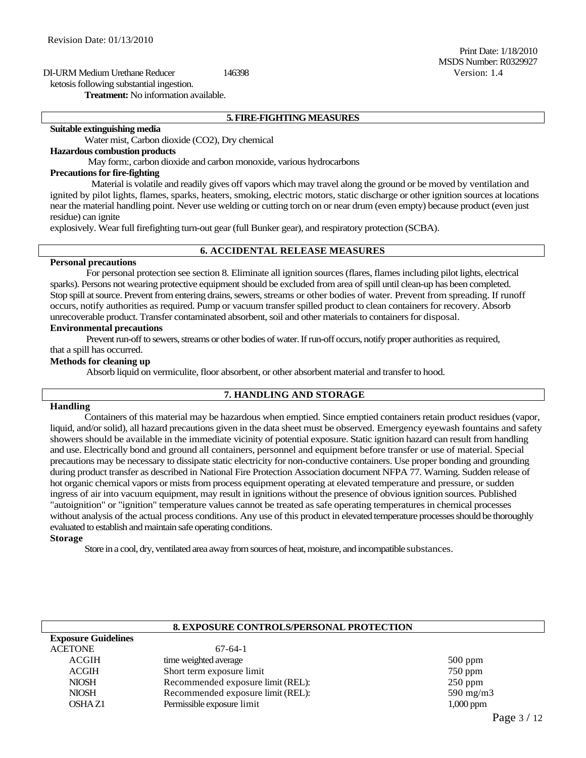# DI-URM Medium Urethane Reducer 146398 Version: 1.4 ketosis following substantial ingestion.

**Treatment:** No information available.

#### **5. FIRE-FIGHTING MEASURES**

# **Suitable extinguishing media**

Water mist, Carbon dioxide (CO2), Dry chemical

#### **Hazardous combustion products**

May form:, carbon dioxide and carbon monoxide, various hydrocarbons

#### **Precautions for fire-fighting**

Material is volatile and readily gives off vapors which may travel along the ground or be moved by ventilation and ignited by pilot lights, flames, sparks, heaters, smoking, electric motors, static discharge or other ignition sources at locations near the material handling point. Never use welding or cutting torch on or near drum (even empty) because product (even just residue) can ignite

explosively. Wear full firefighting turn-out gear (full Bunker gear), and respiratory protection (SCBA).

# **6. ACCIDENTAL RELEASE MEASURES**

#### **Personal precautions**

For personal protection see section 8. Eliminate all ignition sources (flares, flames including pilot lights, electrical sparks). Persons not wearing protective equipment should be excluded from area of spill until clean-up has been completed. Stop spill at source. Prevent from entering drains, sewers, streams or other bodies of water. Prevent from spreading. If runoff occurs, notify authorities as required. Pump or vacuum transfer spilled product to clean containers for recovery. Absorb unrecoverable product. Transfer contaminated absorbent, soil and other materials to containers for disposal.

#### **Environmental precautions**

Prevent run-off to sewers, streams or other bodies of water. If run-off occurs, notify proper authorities as required, that a spill has occurred.

#### **Methods for cleaning up**

Absorb liquid on vermiculite, floor absorbent, or other absorbent material and transfer to hood.

# **7. HANDLING AND STORAGE**

#### **Handling**

Containers of this material may be hazardous when emptied. Since emptied containers retain product residues (vapor, liquid, and/or solid), all hazard precautions given in the data sheet must be observed. Emergency eyewash fountains and safety showers should be available in the immediate vicinity of potential exposure. Static ignition hazard can result from handling and use. Electrically bond and ground all containers, personnel and equipment before transfer or use of material. Special precautions may be necessary to dissipate static electricity for non-conductive containers. Use proper bonding and grounding during product transfer as described in National Fire Protection Association document NFPA 77. Warning. Sudden release of hot organic chemical vapors or mists from process equipment operating at elevated temperature and pressure, or sudden ingress of air into vacuum equipment, may result in ignitions without the presence of obvious ignition sources. Published "autoignition" or "ignition" temperature values cannot be treated as safe operating temperatures in chemical processes without analysis of the actual process conditions. Any use of this product in elevated temperature processes should be thoroughly evaluated to establish and maintain safe operating conditions.

# **Storage**

**Exposure Guidelines**

Store in a cool, dry, ventilated area away from sources of heat, moisture, and incompatible substances.

# **8. EXPOSURE CONTROLS/PERSONAL PROTECTION**

| <b>EXPOSULE GUIDEMIES</b> |                                   |                    |
|---------------------------|-----------------------------------|--------------------|
| <b>ACETONE</b>            | $67-64-1$                         |                    |
| <b>ACGIH</b>              | time weighted average             | $500$ ppm          |
| <b>ACGIH</b>              | Short term exposure limit         | $750$ ppm          |
| <b>NIOSH</b>              | Recommended exposure limit (REL): | $250$ ppm          |
| <b>NIOSH</b>              | Recommended exposure limit (REL): | $590 \text{ mg/n}$ |
| OSHA Z1                   | Permissible exposure limit        | $1,000$ ppm        |

 $590$  mg/m3

Print Date: 1/18/2010 MSDS Number: R0329927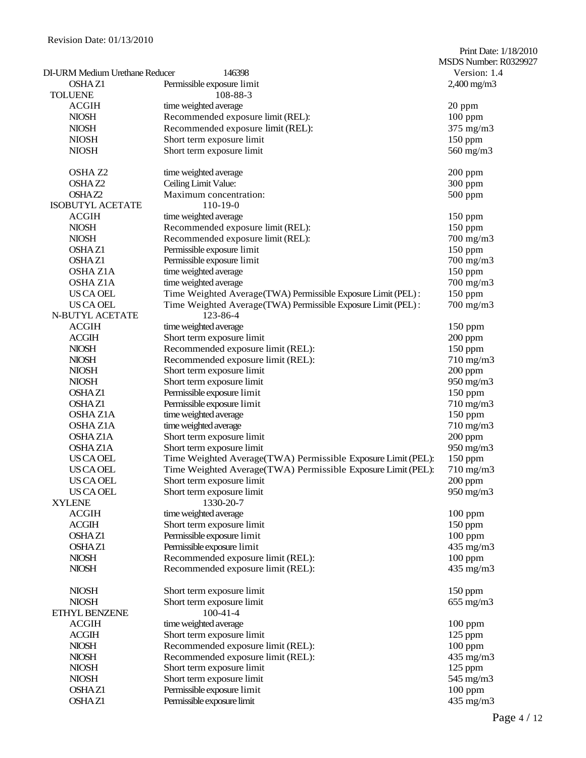|                                       |                                                              | Print Date: 1/18/2010<br>MSDS Number: R0329927 |
|---------------------------------------|--------------------------------------------------------------|------------------------------------------------|
| <b>DI-URM Medium Urethane Reducer</b> | 146398                                                       | Version: 1.4                                   |
| <b>OSHAZ1</b>                         | Permissible exposure limit                                   | $2,400$ mg/m $3$                               |
| <b>TOLUENE</b>                        | 108-88-3                                                     |                                                |
| <b>ACGIH</b>                          | time weighted average                                        | 20 ppm                                         |
| <b>NIOSH</b>                          | Recommended exposure limit (REL):                            | $100$ ppm                                      |
| <b>NIOSH</b>                          | Recommended exposure limit (REL):                            | $375$ mg/m $3$                                 |
| <b>NIOSH</b>                          | Short term exposure limit                                    | 150 ppm                                        |
| <b>NIOSH</b>                          | Short term exposure limit                                    | 560 mg/m3                                      |
| OSHA <sub>Z2</sub>                    | time weighted average                                        | $200$ ppm                                      |
| OSHAZ <sub>2</sub>                    | Ceiling Limit Value:                                         | 300 ppm                                        |
| OSHAZ2                                | Maximum concentration:                                       | $500$ ppm                                      |
| <b>ISOBUTYL ACETATE</b>               | $110-19-0$                                                   |                                                |
| <b>ACGIH</b>                          | time weighted average                                        | $150$ ppm                                      |
| <b>NIOSH</b>                          | Recommended exposure limit (REL):                            | 150 ppm                                        |
| <b>NIOSH</b>                          | Recommended exposure limit (REL):                            | $700$ mg/m $3$                                 |
| OSHA <sub>Z1</sub>                    | Permissible exposure limit                                   | 150 ppm                                        |
| OSHA <sub>Z1</sub>                    | Permissible exposure limit                                   | 700 mg/m3                                      |
| OSHA Z1A                              | time weighted average                                        | $150$ ppm                                      |
| <b>OSHA Z1A</b>                       | time weighted average                                        | 700 mg/m3                                      |
| US CA OEL                             | Time Weighted Average(TWA) Permissible Exposure Limit (PEL): | 150 ppm                                        |
| US CA OEL                             | Time Weighted Average(TWA) Permissible Exposure Limit (PEL): | $700$ mg/m $3$                                 |
| N-BUTYL ACETATE                       | 123-86-4                                                     |                                                |
| <b>ACGIH</b>                          | time weighted average                                        | $150$ ppm                                      |
| <b>ACGIH</b>                          | Short term exposure limit                                    | $200$ ppm                                      |
| <b>NIOSH</b>                          | Recommended exposure limit (REL):                            | 150 ppm                                        |
| <b>NIOSH</b>                          | Recommended exposure limit (REL):                            | $710$ mg/m $3$                                 |
| <b>NIOSH</b>                          | Short term exposure limit                                    | $200$ ppm                                      |
| <b>NIOSH</b>                          | Short term exposure limit                                    | 950 mg/m3                                      |
| <b>OSHAZ1</b>                         | Permissible exposure limit                                   | 150 ppm                                        |
| <b>OSHAZ1</b>                         | Permissible exposure limit                                   | 710 mg/m3                                      |
| OSHA Z1A                              | time weighted average                                        | 150 ppm                                        |
| <b>OSHAZ1A</b>                        | time weighted average                                        | 710 mg/m3                                      |
| <b>OSHAZ1A</b>                        | Short term exposure limit                                    | $200$ ppm                                      |
| <b>OSHAZ1A</b>                        | Short term exposure limit                                    | 950 mg/m3                                      |
| <b>US CA OEL</b>                      | Time Weighted Average(TWA) Permissible Exposure Limit (PEL): | 150 ppm                                        |
|                                       |                                                              | $710$ mg/m $3$                                 |
| <b>US CA OEL</b>                      | Time Weighted Average(TWA) Permissible Exposure Limit (PEL): |                                                |
| US CA OEL                             | Short term exposure limit                                    | 200 ppm                                        |
| US CA OEL                             | Short term exposure limit                                    | 950 mg/m3                                      |
| <b>XYLENE</b>                         | 1330-20-7                                                    |                                                |
| <b>ACGIH</b>                          | time weighted average                                        | $100$ ppm                                      |
| <b>ACGIH</b>                          | Short term exposure limit                                    | 150 ppm                                        |
| <b>OSHAZ1</b>                         | Permissible exposure limit                                   | $100$ ppm                                      |
| OSHAZ1                                | Permissible exposure limit                                   | 435 mg/m3                                      |
| <b>NIOSH</b>                          | Recommended exposure limit (REL):                            | $100$ ppm                                      |
| <b>NIOSH</b>                          | Recommended exposure limit (REL):                            | 435 mg/m3                                      |
| <b>NIOSH</b>                          | Short term exposure limit                                    | $150$ ppm                                      |
| <b>NIOSH</b>                          | Short term exposure limit                                    | $655$ mg/m $3$                                 |
| ETHYL BENZENE                         | $100-41-4$                                                   |                                                |
| <b>ACGIH</b>                          | time weighted average                                        | $100$ ppm                                      |
| <b>ACGIH</b>                          | Short term exposure limit                                    | 125 ppm                                        |
| <b>NIOSH</b>                          | Recommended exposure limit (REL):                            | $100$ ppm                                      |
| <b>NIOSH</b>                          | Recommended exposure limit (REL):                            | 435 mg/m3                                      |
| <b>NIOSH</b>                          | Short term exposure limit                                    | $125$ ppm                                      |
| <b>NIOSH</b>                          | Short term exposure limit                                    | 545 mg/m3                                      |
| OSHAZ1                                | Permissible exposure limit                                   | $100$ ppm                                      |
| <b>OSHAZ1</b>                         | Permissible exposure limit                                   | 435 mg/m3                                      |
|                                       |                                                              |                                                |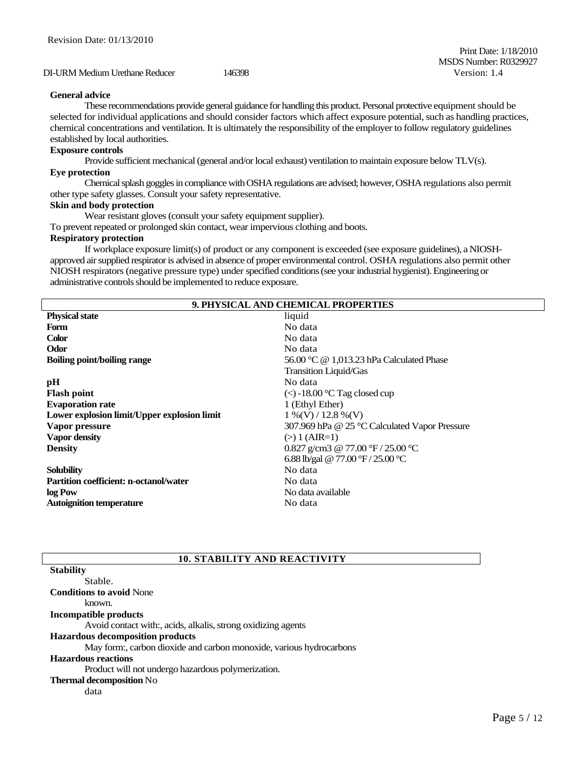# DI-URM Medium Urethane Reducer 146398 Version: 1.4

#### **General advice**

These recommendations provide general guidance for handling this product. Personal protective equipment should be selected for individual applications and should consider factors which affect exposure potential, such as handling practices, chemical concentrations and ventilation. It is ultimately the responsibility of the employer to follow regulatory guidelines established by local authorities.

#### **Exposure controls**

Provide sufficient mechanical (general and/or local exhaust) ventilation to maintain exposure below TLV(s). **Eye protection**

Chemical splash goggles in compliance with OSHA regulations are advised; however, OSHA regulations also permit other type safety glasses. Consult your safety representative.

#### **Skin and body protection**

Wear resistant gloves (consult your safety equipment supplier).

To prevent repeated or prolonged skin contact, wear impervious clothing and boots.

#### **Respiratory protection**

If workplace exposure limit(s) of product or any component is exceeded (see exposure guidelines), a NIOSHapproved air supplied respirator is advised in absence of proper environmental control. OSHA regulations also permit other NIOSH respirators (negative pressure type) under specified conditions (see your industrial hygienist). Engineering or administrative controls should be implemented to reduce exposure.

| <b>9. PHYSICAL AND CHEMICAL PROPERTIES</b>    |                                                    |  |
|-----------------------------------------------|----------------------------------------------------|--|
| <b>Physical state</b>                         | liquid                                             |  |
| Form                                          | No data                                            |  |
| <b>Color</b>                                  | No data                                            |  |
| Odor                                          | No data                                            |  |
| <b>Boiling point/boiling range</b>            | 56.00 °C @ 1,013.23 hPa Calculated Phase           |  |
|                                               | Transition Liquid/Gas                              |  |
| pН                                            | No data                                            |  |
| <b>Flash point</b>                            | $\langle \langle \rangle$ -18.00 °C Tag closed cup |  |
| <b>Evaporation rate</b>                       | 1 (Ethyl Ether)                                    |  |
| Lower explosion limit/Upper explosion limit   | $1\%$ (V) / 12.8 %(V)                              |  |
| Vapor pressure                                | 307.969 hPa @ 25 °C Calculated Vapor Pressure      |  |
| <b>Vapor density</b>                          | $(>) 1 (AIR=1)$                                    |  |
| <b>Density</b>                                | 0.827 g/cm3 @ 77.00 $\rm{°F}/25.00$ $\rm{°C}$      |  |
|                                               | 6.88 lb/gal @ 77.00 °F / 25.00 °C                  |  |
| <b>Solubility</b>                             | No data                                            |  |
| <b>Partition coefficient: n-octanol/water</b> | No data                                            |  |
| log Pow                                       | No data available                                  |  |
| <b>Autoignition temperature</b>               | No data                                            |  |

# **10. STABILITY AND REACTIVITY**

| <b>Stability</b>                                                    |
|---------------------------------------------------------------------|
| Stable.                                                             |
| <b>Conditions to avoid None</b>                                     |
| known.                                                              |
| Incompatible products                                               |
| Avoid contact with:, acids, alkalis, strong oxidizing agents        |
| <b>Hazardous decomposition products</b>                             |
| May form:, carbon dioxide and carbon monoxide, various hydrocarbons |
| <b>Hazardous reactions</b>                                          |
| Product will not undergo hazardous polymerization.                  |
| <b>Thermal decomposition No</b>                                     |
| data                                                                |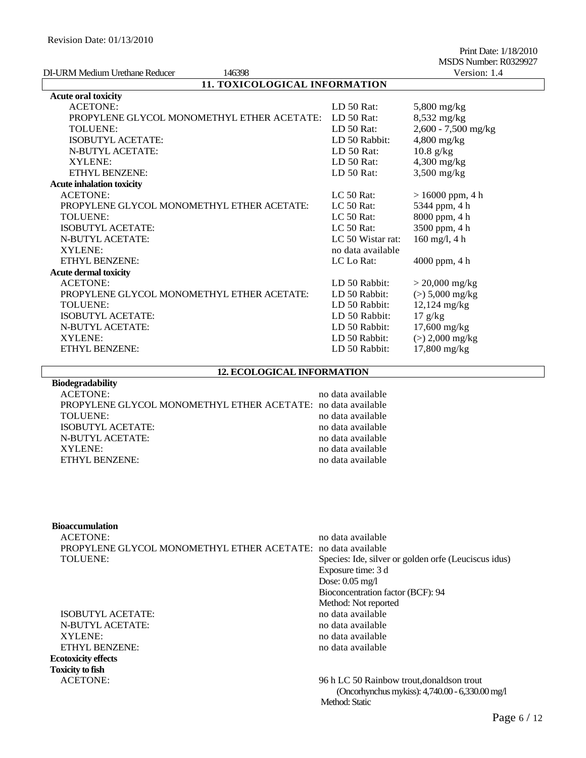| DI-URM Medium Urethane Reducer<br>146398   |                   | Version: 1.4          |  |  |
|--------------------------------------------|-------------------|-----------------------|--|--|
| 11. TOXICOLOGICAL INFORMATION              |                   |                       |  |  |
| <b>Acute oral toxicity</b>                 |                   |                       |  |  |
| <b>ACETONE:</b>                            | LD $50$ Rat:      | $5,800$ mg/kg         |  |  |
| PROPYLENE GLYCOL MONOMETHYL ETHER ACETATE: | LD $50$ Rat:      | $8,532$ mg/kg         |  |  |
| TOLUENE:                                   | LD 50 Rat:        | $2,600 - 7,500$ mg/kg |  |  |
| <b>ISOBUTYL ACETATE:</b>                   | LD 50 Rabbit:     | $4,800$ mg/kg         |  |  |
| N-BUTYL ACETATE:                           | LD 50 Rat:        | $10.8$ g/kg           |  |  |
| <b>XYLENE:</b>                             | LD 50 Rat:        | $4,300$ mg/kg         |  |  |
| <b>ETHYL BENZENE:</b>                      | LD 50 Rat:        | $3,500$ mg/kg         |  |  |
| <b>Acute inhalation toxicity</b>           |                   |                       |  |  |
| <b>ACETONE:</b>                            | $LC$ 50 Rat:      | $> 16000$ ppm, 4 h    |  |  |
| PROPYLENE GLYCOL MONOMETHYL ETHER ACETATE: | $LC$ 50 Rat:      | 5344 ppm, 4 h         |  |  |
| TOLUENE:                                   | $LC$ 50 Rat:      | 8000 ppm, 4 h         |  |  |
| <b>ISOBUTYL ACETATE:</b>                   | LC $50$ Rat:      | 3500 ppm, 4 h         |  |  |
| <b>N-BUTYL ACETATE:</b>                    | LC 50 Wistar rat: | $160$ mg/l, 4 h       |  |  |
| XYLENE:                                    | no data available |                       |  |  |
| <b>ETHYL BENZENE:</b>                      | LC Lo Rat:        | 4000 ppm, 4 h         |  |  |
| <b>Acute dermal toxicity</b>               |                   |                       |  |  |
| <b>ACETONE:</b>                            | LD 50 Rabbit:     | $> 20,000$ mg/kg      |  |  |
| PROPYLENE GLYCOL MONOMETHYL ETHER ACETATE: | LD 50 Rabbit:     | $(>) 5,000$ mg/kg     |  |  |
| TOLUENE:                                   | LD 50 Rabbit:     | $12,124$ mg/kg        |  |  |
| <b>ISOBUTYL ACETATE:</b>                   | LD 50 Rabbit:     | 17 g/kg               |  |  |
| N-BUTYL ACETATE:                           | LD 50 Rabbit:     | $17,600$ mg/kg        |  |  |
| XYLENE:                                    | LD 50 Rabbit:     | $(>) 2,000$ mg/kg     |  |  |
| ETHYL BENZENE:                             | LD 50 Rabbit:     | $17,800$ mg/kg        |  |  |

#### **12. ECOLOGICAL INFORMATION**

| ACETONE:                                                     | no data available |
|--------------------------------------------------------------|-------------------|
| PROPYLENE GLYCOL MONOMETHYL ETHER ACETATE: no data available |                   |
| TOLUENE:                                                     | no data available |
| ISOBUTYL ACETATE:                                            | no data available |
| N-BUTYL ACETATE:                                             | no data available |
| XYLENE:                                                      | no data available |
| ETHYL BENZENE:                                               | no data available |

# **Bioaccumulation**

**Biodegradability**

| ACETONE:                                                     | no data available                                    |
|--------------------------------------------------------------|------------------------------------------------------|
| PROPYLENE GLYCOL MONOMETHYL ETHER ACETATE: no data available |                                                      |
| TOLUENE:                                                     | Species: Ide, silver or golden orfe (Leuciscus idus) |
|                                                              | Exposure time: 3 d                                   |

ISOBUTYL ACETATE: no data available N-BUTYL ACETATE: no data available XYLENE: no data available ETHYL BENZENE: no data available **Ecotoxicity effects Toxicity to fish**

# Dose: 0.05 mg/l Bioconcentration factor (BCF): 94 Method: Not reported

ACETONE: 96 h LC 50 Rainbow trout,donaldson trout (Oncorhynchus mykiss): 4,740.00 - 6,330.00 mg/l Method: Static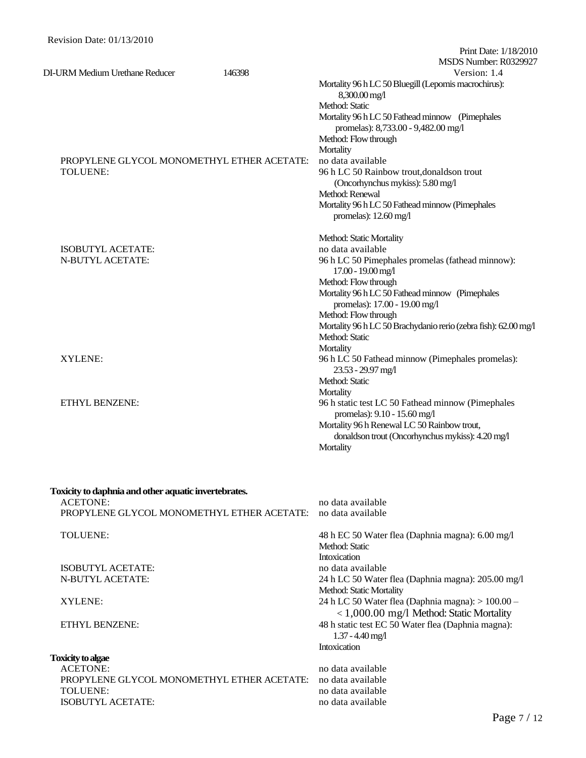|                                                      |        | Print Date: 1/18/2010<br>MSDS Number: R0329927                                         |
|------------------------------------------------------|--------|----------------------------------------------------------------------------------------|
| DI-URM Medium Urethane Reducer                       | 146398 | Version: 1.4                                                                           |
|                                                      |        | Mortality 96 h LC 50 Bluegill (Lepomis macrochirus):<br>8,300.00 mg/l                  |
|                                                      |        | Method: Static                                                                         |
|                                                      |        | Mortality 96 h LC 50 Fathead minnow (Pimephales<br>promelas): 8,733.00 - 9,482.00 mg/l |
|                                                      |        | Method: Flow through                                                                   |
|                                                      |        | Mortality                                                                              |
| PROPYLENE GLYCOL MONOMETHYL ETHER ACETATE:           |        | no data available                                                                      |
| TOLUENE:                                             |        | 96 h LC 50 Rainbow trout, donaldson trout                                              |
|                                                      |        | (Oncorhynchus mykiss): 5.80 mg/l                                                       |
|                                                      |        | Method: Renewal                                                                        |
|                                                      |        | Mortality 96 h LC 50 Fathead minnow (Pimephales                                        |
|                                                      |        | promelas): $12.60$ mg/l                                                                |
|                                                      |        | Method: Static Mortality                                                               |
| ISOBUTYL ACETATE:                                    |        | no data available                                                                      |
| N-BUTYL ACETATE:                                     |        | 96 h LC 50 Pimephales promelas (fathead minnow):<br>17.00 - 19.00 mg/l                 |
|                                                      |        | Method: Flow through                                                                   |
|                                                      |        | Mortality 96 h LC 50 Fathead minnow (Pimephales                                        |
|                                                      |        | promelas): 17.00 - 19.00 mg/l                                                          |
|                                                      |        | Method: Flow through                                                                   |
|                                                      |        | Mortality 96 h LC 50 Brachydanio rerio (zebra fish): 62.00 mg/l                        |
|                                                      |        | Method: Static                                                                         |
|                                                      |        | Mortality                                                                              |
| XYLENE:                                              |        | 96 h LC 50 Fathead minnow (Pimephales promelas):                                       |
|                                                      |        | 23.53 - 29.97 mg/l                                                                     |
|                                                      |        | Method: Static                                                                         |
|                                                      |        | Mortality                                                                              |
| ETHYL BENZENE:                                       |        | 96 h static test LC 50 Fathead minnow (Pimephales                                      |
|                                                      |        | promelas): 9.10 - 15.60 mg/l                                                           |
|                                                      |        | Mortality 96 h Renewal LC 50 Rainbow trout,                                            |
|                                                      |        | donaldson trout (Oncorhynchus mykiss): 4.20 mg/l                                       |
|                                                      |        | Mortality                                                                              |
| Toxicity to daphnia and other aquatic invertebrates. |        |                                                                                        |
| <b>ACETONE:</b>                                      |        | no data available                                                                      |
| PROPYLENE GLYCOL MONOMETHYL ETHER ACETATE:           |        | no data available                                                                      |
|                                                      |        |                                                                                        |
| <b>TOLUENE:</b>                                      |        | 48 h EC 50 Water flea (Daphnia magna): 6.00 mg/l                                       |
|                                                      |        | Method: Static                                                                         |
|                                                      |        | Intoxication                                                                           |
| <b>ISOBUTYL ACETATE:</b>                             |        | no data available                                                                      |
| <b>N-BUTYL ACETATE:</b>                              |        | 24 h LC 50 Water flea (Daphnia magna): 205.00 mg/l                                     |
|                                                      |        | Method: Static Mortality                                                               |
| XYLENE:                                              |        | 24 h LC 50 Water flea (Daphnia magna): > 100.00 -                                      |
|                                                      |        | $<$ 1,000.00 mg/l Method: Static Mortality                                             |
| ETHYL BENZENE:                                       |        | 48 h static test EC 50 Water flea (Daphnia magna):                                     |
|                                                      |        | $1.37 - 4.40$ mg/l                                                                     |
|                                                      |        | Intoxication                                                                           |
| <b>Toxicity to algae</b>                             |        |                                                                                        |
| <b>ACETONE:</b>                                      |        | no data available                                                                      |
| PROPYLENE GLYCOL MONOMETHYL ETHER ACETATE:           |        | no data available                                                                      |
| <b>TOLUENE:</b>                                      |        | no data available                                                                      |
| ISOBUTYL ACETATE:                                    |        | no data available                                                                      |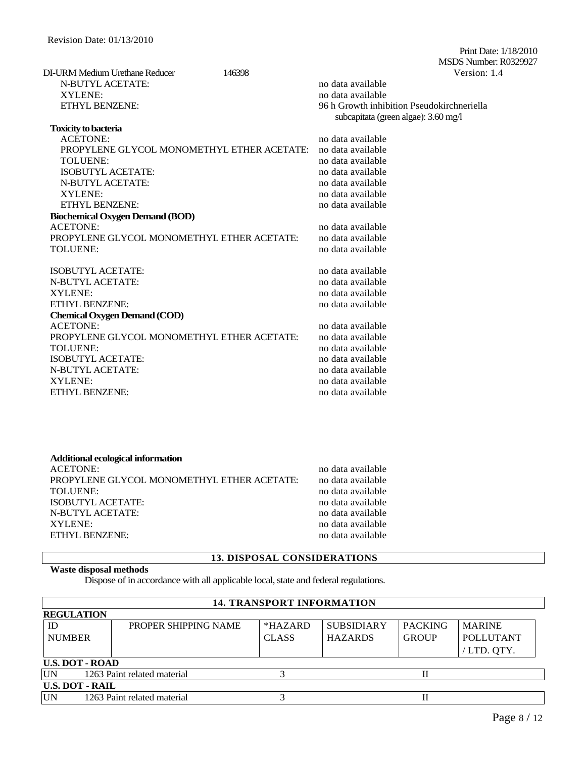Print Date: 1/18/2010 MSDS Number: R0329927 DI-URM Medium Urethane Reducer 146398 Version: 1.4 N-BUTYL ACETATE: no data available XYLENE: no data available ETHYL BENZENE: 96 h Growth inhibition Pseudokirchneriella subcapitata (green algae): 3.60 mg/l

| <b>Toxicity to bacteria</b>                |                   |
|--------------------------------------------|-------------------|
| <b>ACETONE:</b>                            | no data available |
| PROPYLENE GLYCOL MONOMETHYL ETHER ACETATE: | no data available |
| TOLUENE:                                   | no data available |
| <b>ISOBUTYL ACETATE:</b>                   | no data available |
| <b>N-BUTYL ACETATE:</b>                    | no data available |
| XYLENE:                                    | no data available |
| <b>ETHYL BENZENE:</b>                      | no data available |
| <b>Biochemical Oxygen Demand (BOD)</b>     |                   |
| <b>ACETONE:</b>                            | no data available |
| PROPYLENE GLYCOL MONOMETHYL ETHER ACETATE: | no data available |
| <b>TOLUENE:</b>                            | no data available |
| <b>ISOBUTYL ACETATE:</b>                   | no data available |
| <b>N-BUTYL ACETATE:</b>                    | no data available |
| XYLENE:                                    | no data available |
| <b>ETHYL BENZENE:</b>                      | no data available |
| <b>Chemical Oxygen Demand (COD)</b>        |                   |
| <b>ACETONE:</b>                            | no data available |
| PROPYLENE GLYCOL MONOMETHYL ETHER ACETATE: | no data available |
| <b>TOLUENE:</b>                            | no data available |
| <b>ISOBUTYL ACETATE:</b>                   | no data available |
| <b>N-BUTYL ACETATE:</b>                    | no data available |

#### **Additional ecological information** ACETONE: no data available PROPYLENE GLYCOL MONOMETHYL ETHER ACETATE: no data available TOLUENE:<br>
ISOBUTYL ACETATE:<br>
ison of the available<br>
ison of the available<br>
ison of the available<br>
ison of the available<br>
ison of the available<br>
ison of the available<br>
ison of the available<br>
ison of the available<br>
ison of t ISOBUTYL ACETATE: N-BUTYL ACETATE: no data available XYLENE: no data available ETHYL BENZENE: no data available no data available

XYLENE: no data available ETHYL BENZENE: no data available no data available

# **13. DISPOSAL CONSIDERATIONS**

# **Waste disposal methods**

Dispose of in accordance with all applicable local, state and federal regulations.

| <b>14. TRANSPORT INFORMATION</b>         |                             |              |                   |                |                  |
|------------------------------------------|-----------------------------|--------------|-------------------|----------------|------------------|
| <b>REGULATION</b>                        |                             |              |                   |                |                  |
| ID                                       | PROPER SHIPPING NAME        | $*HAZARD$    | <b>SUBSIDIARY</b> | <b>PACKING</b> | <b>MARINE</b>    |
| <b>NUMBER</b>                            |                             | <b>CLASS</b> | <b>HAZARDS</b>    | <b>GROUP</b>   | <b>POLLUTANT</b> |
|                                          |                             |              |                   |                | / LTD. QTY.      |
| <b>U.S. DOT - ROAD</b>                   |                             |              |                   |                |                  |
| <b>UN</b><br>1263 Paint related material |                             |              |                   |                |                  |
| <b>U.S. DOT - RAIL</b>                   |                             |              |                   |                |                  |
| UN                                       | 1263 Paint related material |              |                   |                |                  |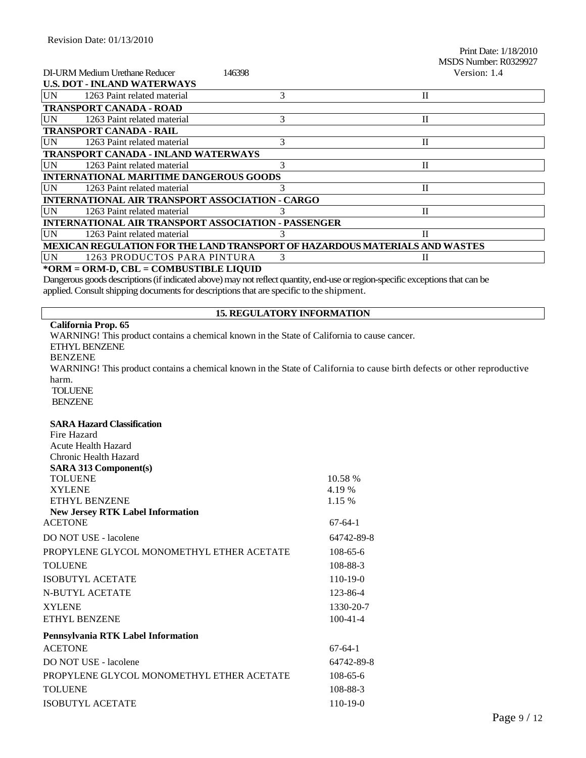Print Date: 1/18/2010 MSDS Number: R0329927

| DI-URM Medium Urethane Reducer                                              |                             | 146398 | Version: 1.4 |  |  |  |
|-----------------------------------------------------------------------------|-----------------------------|--------|--------------|--|--|--|
| <b>U.S. DOT - INLAND WATERWAYS</b>                                          |                             |        |              |  |  |  |
| <b>UN</b>                                                                   | 1263 Paint related material | 3      | $\mathbf{H}$ |  |  |  |
| <b>TRANSPORT CANADA - ROAD</b>                                              |                             |        |              |  |  |  |
| <b>UN</b>                                                                   | 1263 Paint related material | 3      | $\mathbf{I}$ |  |  |  |
| <b>TRANSPORT CANADA - RAIL</b>                                              |                             |        |              |  |  |  |
| <b>UN</b>                                                                   | 1263 Paint related material | 3      | $\mathbf{I}$ |  |  |  |
| <b>TRANSPORT CANADA - INLAND WATERWAYS</b>                                  |                             |        |              |  |  |  |
| <b>UN</b>                                                                   | 1263 Paint related material | 3      | П            |  |  |  |
| <b>INTERNATIONAL MARITIME DANGEROUS GOODS</b>                               |                             |        |              |  |  |  |
| <b>UN</b>                                                                   | 1263 Paint related material |        | П            |  |  |  |
| <b>INTERNATIONAL AIR TRANSPORT ASSOCIATION - CARGO</b>                      |                             |        |              |  |  |  |
| UN                                                                          | 1263 Paint related material |        | $\mathbf{I}$ |  |  |  |
| <b>INTERNATIONAL AIR TRANSPORT ASSOCIATION - PASSENGER</b>                  |                             |        |              |  |  |  |
| <b>UN</b>                                                                   | 1263 Paint related material |        | H            |  |  |  |
| MEXICAN REGULATION FOR THE LAND TRANSPORT OF HAZARDOUS MATERIALS AND WASTES |                             |        |              |  |  |  |
| <b>UN</b>                                                                   | 1263 PRODUCTOS PARA PINTURA | 3      | H            |  |  |  |
| *ORM = ORM-D, CBL = COMBUSTIBLE LIQUID                                      |                             |        |              |  |  |  |

Dangerous goods descriptions (if indicated above) may not reflect quantity, end-use or region-specific exceptions that can be applied. Consult shipping documents for descriptions that are specific to the shipment.

#### **15. REGULATORY INFORMATION**

#### **California Prop. 65**

WARNING! This product contains a chemical known in the State of California to cause cancer. ETHYL BENZENE BENZENE WARNING! This product contains a chemical known in the State of California to cause birth defects or other reproductive harm. TOLUENE BENZENE

#### **SARA Hazard Classification**

| Fire Hazard                               |                |
|-------------------------------------------|----------------|
| <b>Acute Health Hazard</b>                |                |
| Chronic Health Hazard                     |                |
| <b>SARA 313 Component(s)</b>              |                |
| <b>TOLUENE</b>                            | 10.58 %        |
| <b>XYLENE</b>                             | 4.19 %         |
| ETHYL BENZENE                             | 1.15 %         |
| <b>New Jersey RTK Label Information</b>   |                |
| <b>ACETONE</b>                            | $67-64-1$      |
| DO NOT USE - lacolene                     | 64742-89-8     |
| PROPYLENE GLYCOL MONOMETHYL ETHER ACETATE | $108 - 65 - 6$ |
| <b>TOLUENE</b>                            | 108-88-3       |
| ISOBUTYL ACETATE                          | $110-19-0$     |
| <b>N-BUTYL ACETATE</b>                    | 123-86-4       |
| <b>XYLENE</b>                             | 1330-20-7      |
| ETHYL BENZENE                             | $100 - 41 - 4$ |
| Pennsylvania RTK Label Information        |                |
| <b>ACETONE</b>                            | $67-64-1$      |
| DO NOT USE - lacolene                     | 64742-89-8     |
| PROPYLENE GLYCOL MONOMETHYL ETHER ACETATE | $108 - 65 - 6$ |
| <b>TOLUENE</b>                            | 108-88-3       |
| <b>ISOBUTYL ACETATE</b>                   | $110-19-0$     |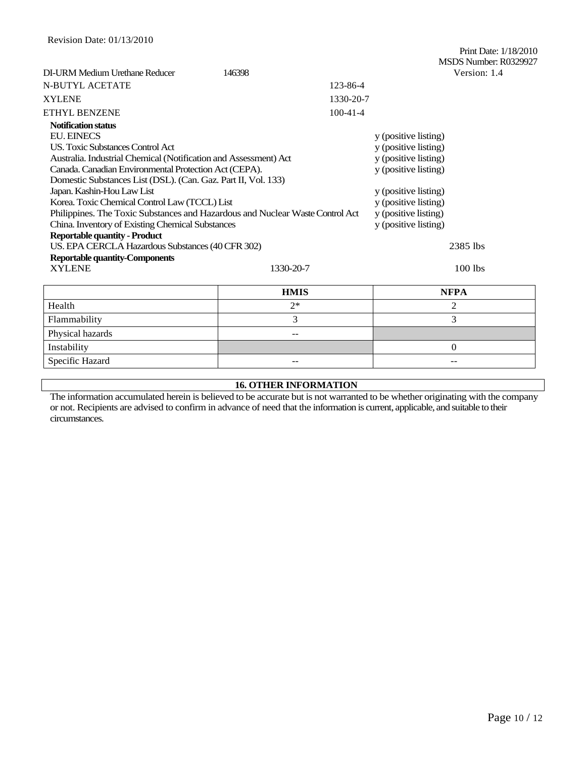|                                                                               |                      | Print Date: 1/18/2010<br>MSDS Number: R0329927 |  |  |  |  |
|-------------------------------------------------------------------------------|----------------------|------------------------------------------------|--|--|--|--|
| DI-URM Medium Urethane Reducer                                                | 146398               | Version: 1.4                                   |  |  |  |  |
| <b>N-BUTYL ACETATE</b>                                                        |                      | 123-86-4                                       |  |  |  |  |
| <b>XYLENE</b>                                                                 |                      | 1330-20-7                                      |  |  |  |  |
| <b>ETHYL BENZENE</b>                                                          | $100 - 41 - 4$       |                                                |  |  |  |  |
| <b>Notification status</b>                                                    |                      |                                                |  |  |  |  |
| <b>EU. EINECS</b>                                                             |                      | y (positive listing)                           |  |  |  |  |
| <b>US.</b> Toxic Substances Control Act                                       | y (positive listing) |                                                |  |  |  |  |
| Australia. Industrial Chemical (Notification and Assessment) Act              | y (positive listing) |                                                |  |  |  |  |
| Canada. Canadian Environmental Protection Act (CEPA).                         | y (positive listing) |                                                |  |  |  |  |
| Domestic Substances List (DSL). (Can. Gaz. Part II, Vol. 133)                 |                      |                                                |  |  |  |  |
| Japan. Kashin-Hou Law List                                                    | y (positive listing) |                                                |  |  |  |  |
| Korea. Toxic Chemical Control Law (TCCL) List                                 | y (positive listing) |                                                |  |  |  |  |
| Philippines. The Toxic Substances and Hazardous and Nuclear Waste Control Act | y (positive listing) |                                                |  |  |  |  |
| China. Inventory of Existing Chemical Substances                              | y (positive listing) |                                                |  |  |  |  |
| <b>Reportable quantity - Product</b>                                          |                      |                                                |  |  |  |  |
| US. EPA CERCLA Hazardous Substances (40 CFR 302)                              | 2385 lbs             |                                                |  |  |  |  |
| <b>Reportable quantity-Components</b>                                         |                      |                                                |  |  |  |  |
| <b>XYLENE</b>                                                                 | 1330-20-7            | 100 lbs                                        |  |  |  |  |
|                                                                               | <b>HMIS</b>          | <b>NFPA</b>                                    |  |  |  |  |
| Health                                                                        | $2*$                 | $\overline{2}$                                 |  |  |  |  |
| Flammability                                                                  | 3                    | $\overline{3}$                                 |  |  |  |  |
| Physical hazards                                                              | $-$                  |                                                |  |  |  |  |
| Instability                                                                   |                      | $\mathbf{0}$                                   |  |  |  |  |
| Specific Hazard                                                               |                      |                                                |  |  |  |  |

# **16. OTHER INFORMATION**

The information accumulated herein is believed to be accurate but is not warranted to be whether originating with the company or not. Recipients are advised to confirm in advance of need that the information is current, applicable, and suitable to their circumstances.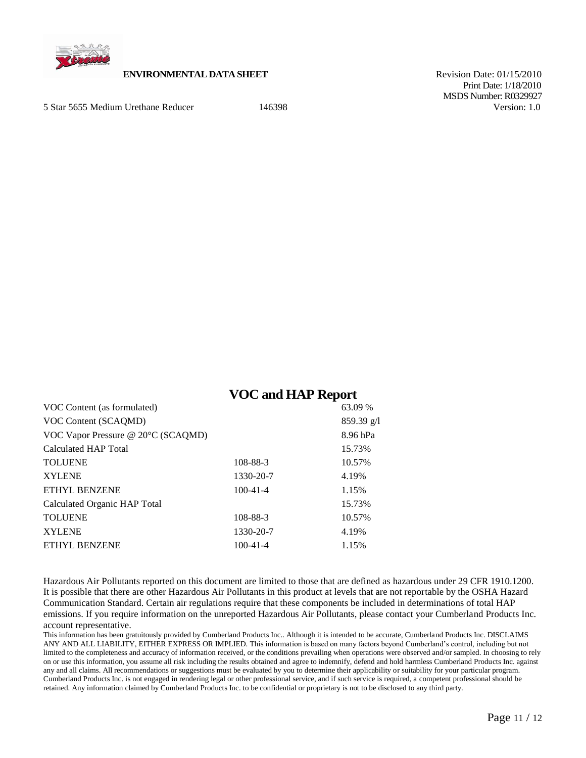

# **ENVIRONMENTAL DATA SHEET** Revision Date: 01/15/2010

5 Star 5655 Medium Urethane Reducer 146398 Version: 1.0

 Print Date: 1/18/2010 MSDS Number: R0329927

# **VOC and HAP Report**

| VOC Content (as formulated)        |                | 63.09 %    |
|------------------------------------|----------------|------------|
| VOC Content (SCAQMD)               |                | 859.39 g/l |
| VOC Vapor Pressure @ 20°C (SCAQMD) |                | 8.96 hPa   |
| Calculated HAP Total               |                | 15.73%     |
| <b>TOLUENE</b>                     | 108-88-3       | 10.57%     |
| <b>XYLENE</b>                      | 1330-20-7      | 4.19%      |
| ETHYL BENZENE                      | $100 - 41 - 4$ | 1.15%      |
| Calculated Organic HAP Total       |                | 15.73%     |
| <b>TOLUENE</b>                     | 108-88-3       | 10.57%     |
| <b>XYLENE</b>                      | 1330-20-7      | 4.19%      |
| ETHYL BENZENE                      | $100 - 41 - 4$ | 1.15%      |
|                                    |                |            |

Hazardous Air Pollutants reported on this document are limited to those that are defined as hazardous under 29 CFR 1910.1200. It is possible that there are other Hazardous Air Pollutants in this product at levels that are not reportable by the OSHA Hazard Communication Standard. Certain air regulations require that these components be included in determinations of total HAP emissions. If you require information on the unreported Hazardous Air Pollutants, please contact your Cumberland Products Inc. account representative.

This information has been gratuitously provided by Cumberland Products Inc.. Although it is intended to be accurate, Cumberland Products Inc. DISCLAIMS ANY AND ALL LIABILITY, EITHER EXPRESS OR IMPLIED. This information is based on many factors beyond Cumberland's control, including but not limited to the completeness and accuracy of information received, or the conditions prevailing when operations were observed and/or sampled. In choosing to rely on or use this information, you assume all risk including the results obtained and agree to indemnify, defend and hold harmless Cumberland Products Inc. against any and all claims. All recommendations or suggestions must be evaluated by you to determine their applicability or suitability for your particular program. Cumberland Products Inc. is not engaged in rendering legal or other professional service, and if such service is required, a competent professional should be retained. Any information claimed by Cumberland Products Inc. to be confidential or proprietary is not to be disclosed to any third party.